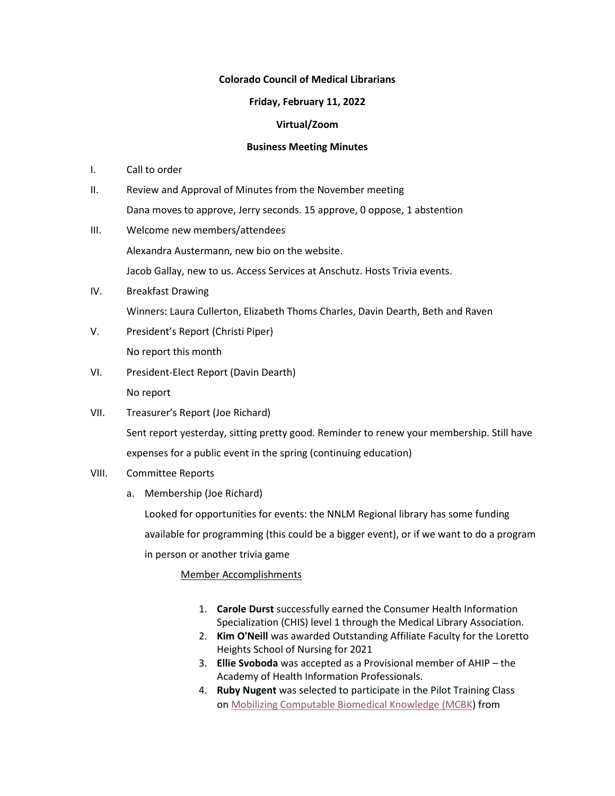## **Colorado Council of Medical Librarians**

## **Friday, February 11, 2022**

# **Virtual/Zoom**

### **Business Meeting Minutes**

- I. Call to order
- II. Review and Approval of Minutes from the November meeting Dana moves to approve, Jerry seconds. 15 approve, 0 oppose, 1 abstention
- III. Welcome new members/attendees Alexandra Austermann, new bio on the website. Jacob Gallay, new to us. Access Services at Anschutz. Hosts Trivia events.
- IV. Breakfast Drawing Winners: Laura Cullerton, Elizabeth Thoms Charles, Davin Dearth, Beth and Raven
- V. President's Report (Christi Piper) No report this month
- VI. President-Elect Report (Davin Dearth) No report
- VII. Treasurer's Report (Joe Richard) Sent report yesterday, sitting pretty good. Reminder to renew your membership. Still have expenses for a public event in the spring (continuing education)
- VIII. Committee Reports
	- a. Membership (Joe Richard)

Looked for opportunities for events: the NNLM Regional library has some funding available for programming (this could be a bigger event), or if we want to do a program in person or another trivia game

Member Accomplishments

- 1. **Carole Durst** successfully earned the Consumer Health Information Specialization (CHIS) level 1 through the Medical Library Association.
- 2. **Kim O'Neill** was awarded Outstanding Affiliate Faculty for the Loretto Heights School of Nursing for 2021
- 3. **Ellie Svoboda** was accepted as a Provisional member of AHIP the Academy of Health Information Professionals.
- 4. **Ruby Nugent** was selected to participate in the Pilot Training Class on [Mobilizing Computable Biomedical Knowledge \(MCBK\)](https://www.nccu.edu/mcbk-home) from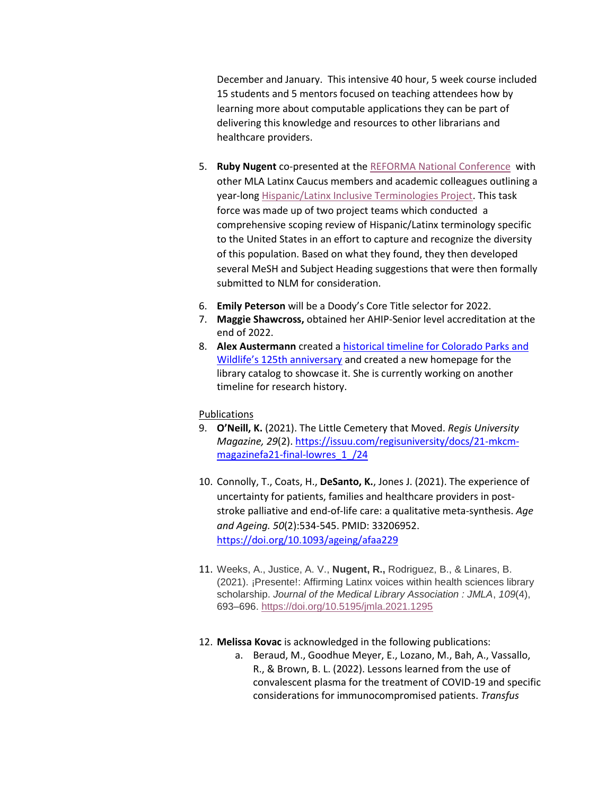December and January. This intensive 40 hour, 5 week course included 15 students and 5 mentors focused on teaching attendees how by learning more about computable applications they can be part of delivering this knowledge and resources to other librarians and healthcare providers.

- 5. **Ruby Nugent** co-presented at the [REFORMA National Conference](https://www.reforma.org/rnc) with other MLA Latinx Caucus members and academic colleagues outlining a year-long [Hispanic/Latinx Inclusive Terminologies Project.](https://osf.io/9mgwq/) This task force was made up of two project teams which conducted a comprehensive scoping review of Hispanic/Latinx terminology specific to the United States in an effort to capture and recognize the diversity of this population. Based on what they found, they then developed several MeSH and Subject Heading suggestions that were then formally submitted to NLM for consideration.
- 6. **Emily Peterson** will be a Doody's Core Title selector for 2022.
- 7. **Maggie Shawcross,** obtained her AHIP-Senior level accreditation at the end of 2022.
- 8. **Alex Austermann** created [a historical timeline for Colorado Parks and](https://cpw.catalog.aspencat.info/)  [Wildlife's 125th anniversary](https://cpw.catalog.aspencat.info/) and created a new homepage for the library catalog to showcase it. She is currently working on another timeline for research history.

#### Publications

- 9. **O'Neill, K.** (2021). The Little Cemetery that Moved. *Regis University Magazine, 29*(2). [https://issuu.com/regisuniversity/docs/21-mkcm](https://issuu.com/regisuniversity/docs/21-mkcm-magazinefa21-final-lowres_1_/24)[magazinefa21-final-lowres\\_1\\_/24](https://issuu.com/regisuniversity/docs/21-mkcm-magazinefa21-final-lowres_1_/24)
- 10. Connolly, T., Coats, H., **DeSanto, K.**, Jones J. (2021). The experience of uncertainty for patients, families and healthcare providers in poststroke palliative and end-of-life care: a qualitative meta-synthesis. *Age and Ageing. 50*(2):534-545. PMID: 33206952. <https://doi.org/10.1093/ageing/afaa229>
- 11. Weeks, A., Justice, A. V., **Nugent, R.,** Rodriguez, B., & Linares, B. (2021). ¡Presente!: Affirming Latinx voices within health sciences library scholarship. *Journal of the Medical Library Association : JMLA*, *109*(4), 693–696. <https://doi.org/10.5195/jmla.2021.1295>
- 12. **Melissa Kovac** is acknowledged in the following publications:
	- a. Beraud, M., Goodhue Meyer, E., Lozano, M., Bah, A., Vassallo, R., & Brown, B. L. (2022). Lessons learned from the use of convalescent plasma for the treatment of COVID-19 and specific considerations for immunocompromised patients. *Transfus*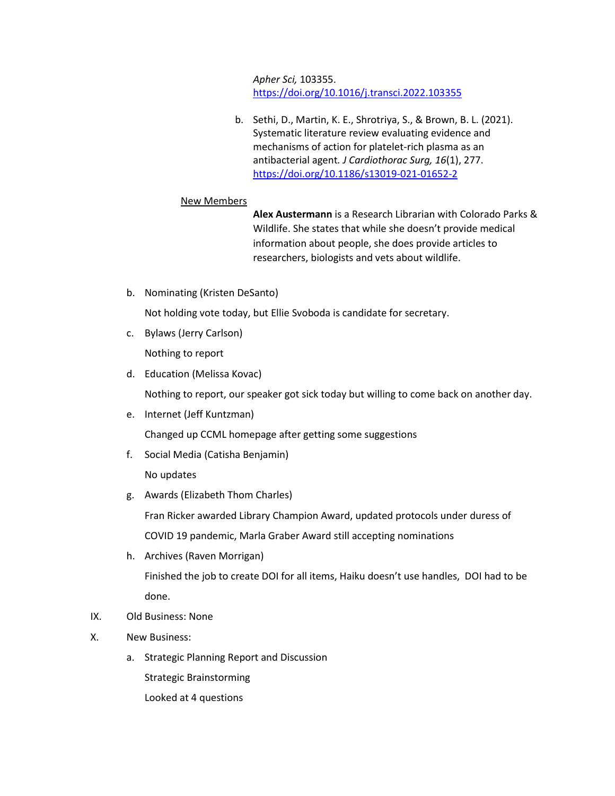*Apher Sci,* 103355. <https://doi.org/10.1016/j.transci.2022.103355>

b. Sethi, D., Martin, K. E., Shrotriya, S., & Brown, B. L. (2021). Systematic literature review evaluating evidence and mechanisms of action for platelet-rich plasma as an antibacterial agent*. J Cardiothorac Surg, 16*(1), 277. <https://doi.org/10.1186/s13019-021-01652-2>

### New Members

**Alex Austermann** is a Research Librarian with Colorado Parks & Wildlife. She states that while she doesn't provide medical information about people, she does provide articles to researchers, biologists and vets about wildlife.

b. Nominating (Kristen DeSanto)

Not holding vote today, but Ellie Svoboda is candidate for secretary.

- c. Bylaws (Jerry Carlson) Nothing to report
- d. Education (Melissa Kovac)

Nothing to report, our speaker got sick today but willing to come back on another day.

- e. Internet (Jeff Kuntzman) Changed up CCML homepage after getting some suggestions
- f. Social Media (Catisha Benjamin)

No updates

g. Awards (Elizabeth Thom Charles)

Fran Ricker awarded Library Champion Award, updated protocols under duress of COVID 19 pandemic, Marla Graber Award still accepting nominations

h. Archives (Raven Morrigan)

Finished the job to create DOI for all items, Haiku doesn't use handles, DOI had to be done.

- IX. Old Business: None
- X. New Business:
	- a. Strategic Planning Report and Discussion

Strategic Brainstorming

Looked at 4 questions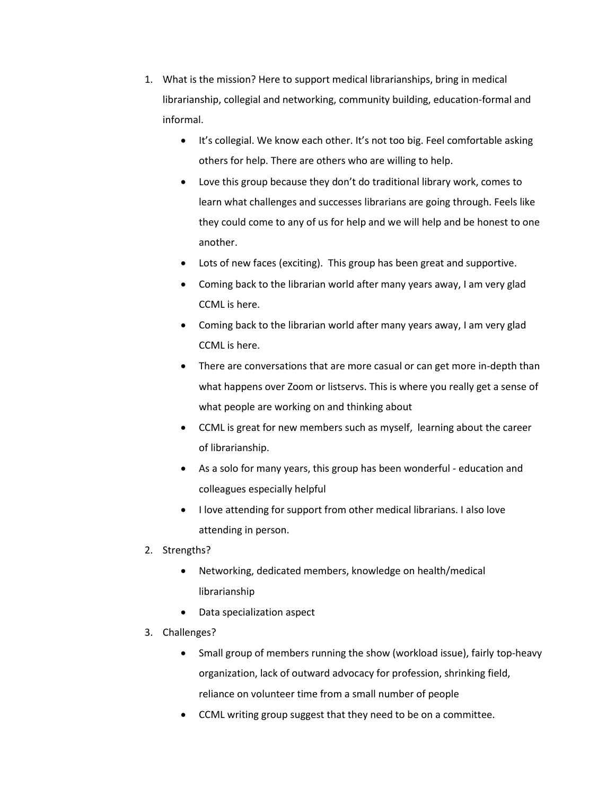- 1. What is the mission? Here to support medical librarianships, bring in medical librarianship, collegial and networking, community building, education-formal and informal.
	- It's collegial. We know each other. It's not too big. Feel comfortable asking others for help. There are others who are willing to help.
	- Love this group because they don't do traditional library work, comes to learn what challenges and successes librarians are going through. Feels like they could come to any of us for help and we will help and be honest to one another.
	- Lots of new faces (exciting). This group has been great and supportive.
	- Coming back to the librarian world after many years away, I am very glad CCML is here.
	- Coming back to the librarian world after many years away, I am very glad CCML is here.
	- There are conversations that are more casual or can get more in-depth than what happens over Zoom or listservs. This is where you really get a sense of what people are working on and thinking about
	- CCML is great for new members such as myself, learning about the career of librarianship.
	- As a solo for many years, this group has been wonderful education and colleagues especially helpful
	- I love attending for support from other medical librarians. I also love attending in person.
- 2. Strengths?
	- Networking, dedicated members, knowledge on health/medical librarianship
	- Data specialization aspect
- 3. Challenges?
	- Small group of members running the show (workload issue), fairly top-heavy organization, lack of outward advocacy for profession, shrinking field, reliance on volunteer time from a small number of people
	- CCML writing group suggest that they need to be on a committee.